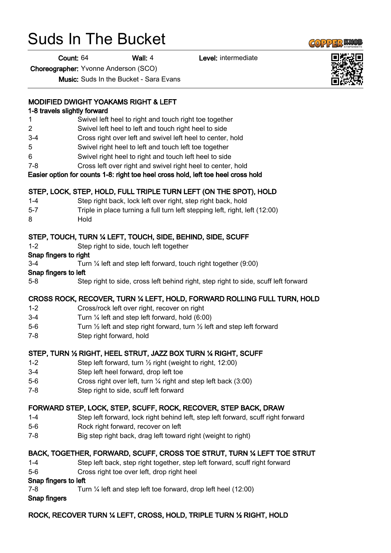# Suds In The Bucket

Count: 64 Wall: 4 Level: intermediate

Choreographer: Yvonne Anderson (SCO)

Music: Suds In the Bucket - Sara Evans

# MODIFIED DWIGHT YOAKAMS RIGHT & LEFT

# 1-8 travels slightly forward

- 1 Swivel left heel to right and touch right toe together
- 2 Swivel left heel to left and touch right heel to side
- 3-4 Cross right over left and swivel left heel to center, hold
- 5 Swivel right heel to left and touch left toe together
- 6 Swivel right heel to right and touch left heel to side
- 7-8 Cross left over right and swivel right heel to center, hold

Easier option for counts 1-8: right toe heel cross hold, left toe heel cross hold

# STEP, LOCK, STEP, HOLD, FULL TRIPLE TURN LEFT (ON THE SPOT), HOLD

- 1-4 Step right back, lock left over right, step right back, hold
- 5-7 Triple in place turning a full turn left stepping left, right, left (12:00)
- 8 Hold

# STEP, TOUCH, TURN ¼ LEFT, TOUCH, SIDE, BEHIND, SIDE, SCUFF

1-2 Step right to side, touch left together

#### Snap fingers to right

3-4 Turn ¼ left and step left forward, touch right together (9:00)

#### Snap fingers to left

5-8 Step right to side, cross left behind right, step right to side, scuff left forward

# CROSS ROCK, RECOVER, TURN ¼ LEFT, HOLD, FORWARD ROLLING FULL TURN, HOLD

- 1-2 Cross/rock left over right, recover on right
- 3-4 Turn ¼ left and step left forward, hold (6:00)
- 5-6 Turn ½ left and step right forward, turn ½ left and step left forward
- 7-8 Step right forward, hold

# STEP, TURN ½ RIGHT, HEEL STRUT, JAZZ BOX TURN ¼ RIGHT, SCUFF

- 1-2 Step left forward, turn ½ right (weight to right, 12:00)
- 3-4 Step left heel forward, drop left toe
- 5-6 Cross right over left, turn ¼ right and step left back (3:00)
- 7-8 Step right to side, scuff left forward

#### FORWARD STEP, LOCK, STEP, SCUFF, ROCK, RECOVER, STEP BACK, DRAW

- 1-4 Step left forward, lock right behind left, step left forward, scuff right forward
- 5-6 Rock right forward, recover on left
- 7-8 Big step right back, drag left toward right (weight to right)

#### BACK, TOGETHER, FORWARD, SCUFF, CROSS TOE STRUT, TURN ¼ LEFT TOE STRUT

- 1-4 Step left back, step right together, step left forward, scuff right forward
- 5-6 Cross right toe over left, drop right heel

#### Snap fingers to left

7-8 Turn ¼ left and step left toe forward, drop left heel (12:00)

# Snap fingers

# ROCK, RECOVER TURN ¼ LEFT, CROSS, HOLD, TRIPLE TURN ½ RIGHT, HOLD